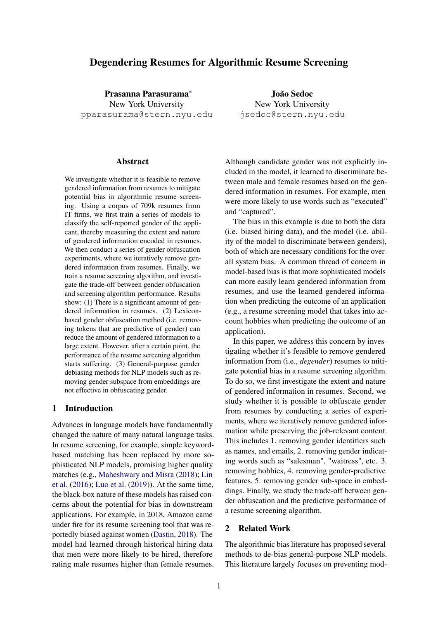# Degendering Resumes for Algorithmic Resume Screening

Prasanna Parasurama<sup>∗</sup> New York University pparasurama@stern.nyu.edu

**Abstract** 

We investigate whether it is feasible to remove gendered information from resumes to mitigate potential bias in algorithmic resume screening. Using a corpus of 709k resumes from IT firms, we first train a series of models to classify the self-reported gender of the applicant, thereby measuring the extent and nature of gendered information encoded in resumes. We then conduct a series of gender obfuscation experiments, where we iteratively remove gendered information from resumes. Finally, we train a resume screening algorithm, and investigate the trade-off between gender obfuscation and screening algorithm performance. Results show: (1) There is a significant amount of gendered information in resumes. (2) Lexiconbased gender obfuscation method (i.e. removing tokens that are predictive of gender) can reduce the amount of gendered information to a large extent. However, after a certain point, the performance of the resume screening algorithm starts suffering. (3) General-purpose gender debiasing methods for NLP models such as removing gender subspace from embeddings are not effective in obfuscating gender.

#### 1 Introduction

Advances in language models have fundamentally changed the nature of many natural language tasks. In resume screening, for example, simple keywordbased matching has been replaced by more sophisticated NLP models, promising higher quality matches (e.g., Maheshwary and Misra (2018); Lin et al. (2016); Luo et al. (2019)). At the same time, the black-box nature of these models has raised concerns about the potential for bias in downstream applications. For example, in 2018, Amazon came under fire for its resume screening tool that was reportedly biased against women (Dastin, 2018). The model had learned through historical hiring data that men were more likely to be hired, therefore rating male resumes higher than female resumes.

João Sedoc New York University jsedoc@stern.nyu.edu

Although candidate gender was not explicitly included in the model, it learned to discriminate between male and female resumes based on the gendered information in resumes. For example, men were more likely to use words such as "executed" and "captured".

The bias in this example is due to both the data (i.e. biased hiring data), and the model (i.e. ability of the model to discriminate between genders), both of which are necessary conditions for the overall system bias. A common thread of concern in model-based bias is that more sophisticated models can more easily learn gendered information from resumes, and use the learned gendered information when predicting the outcome of an application (e.g., a resume screening model that takes into account hobbies when predicting the outcome of an application).

In this paper, we address this concern by investigating whether it's feasible to remove gendered information from (i.e., *degender*) resumes to mitigate potential bias in a resume screening algorithm. To do so, we first investigate the extent and nature of gendered information in resumes. Second, we study whether it is possible to obfuscate gender from resumes by conducting a series of experiments, where we iteratively remove gendered information while preserving the job-relevant content. This includes 1. removing gender identifiers such as names, and emails, 2. removing gender indicating words such as "salesman", "waitress", etc. 3. removing hobbies, 4. removing gender-predictive features, 5. removing gender sub-space in embeddings. Finally, we study the trade-off between gender obfuscation and the predictive performance of a resume screening algorithm.

### 2 Related Work

The algorithmic bias literature has proposed several methods to de-bias general-purpose NLP models. This literature largely focuses on preventing mod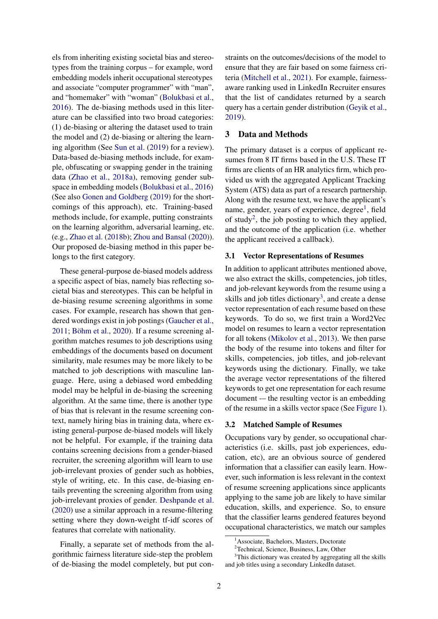els from inheriting existing societal bias and stereotypes from the training corpus – for example, word embedding models inherit occupational stereotypes and associate "computer programmer" with "man", and "homemaker" with "woman" (Bolukbasi et al., 2016). The de-biasing methods used in this literature can be classified into two broad categories: (1) de-biasing or altering the dataset used to train the model and (2) de-biasing or altering the learning algorithm (See Sun et al. (2019) for a review). Data-based de-biasing methods include, for example, obfuscating or swapping gender in the training data (Zhao et al., 2018a), removing gender subspace in embedding models (Bolukbasi et al., 2016) (See also Gonen and Goldberg (2019) for the shortcomings of this approach), etc. Training-based methods include, for example, putting constraints on the learning algorithm, adversarial learning, etc. (e.g., Zhao et al. (2018b); Zhou and Bansal (2020)). Our proposed de-biasing method in this paper belongs to the first category.

These general-purpose de-biased models address a specific aspect of bias, namely bias reflecting societal bias and stereotypes. This can be helpful in de-biasing resume screening algorithms in some cases. For example, research has shown that gendered wordings exist in job postings (Gaucher et al., 2011; Böhm et al., 2020). If a resume screening algorithm matches resumes to job descriptions using embeddings of the documents based on document similarity, male resumes may be more likely to be matched to job descriptions with masculine language. Here, using a debiased word embedding model may be helpful in de-biasing the screening algorithm. At the same time, there is another type of bias that is relevant in the resume screening context, namely hiring bias in training data, where existing general-purpose de-biased models will likely not be helpful. For example, if the training data contains screening decisions from a gender-biased recruiter, the screening algorithm will learn to use job-irrelevant proxies of gender such as hobbies, style of writing, etc. In this case, de-biasing entails preventing the screening algorithm from using job-irrelevant proxies of gender. Deshpande et al. (2020) use a similar approach in a resume-filtering setting where they down-weight tf-idf scores of features that correlate with nationality.

Finally, a separate set of methods from the algorithmic fairness literature side-step the problem of de-biasing the model completely, but put constraints on the outcomes/decisions of the model to ensure that they are fair based on some fairness criteria (Mitchell et al., 2021). For example, fairnessaware ranking used in LinkedIn Recruiter ensures that the list of candidates returned by a search query has a certain gender distribution (Geyik et al., 2019).

# 3 Data and Methods

The primary dataset is a corpus of applicant resumes from 8 IT firms based in the U.S. These IT firms are clients of an HR analytics firm, which provided us with the aggregated Applicant Tracking System (ATS) data as part of a research partnership. Along with the resume text, we have the applicant's name, gender, years of experience, degree<sup>1</sup>, field of study<sup>2</sup>, the job posting to which they applied, and the outcome of the application (i.e. whether the applicant received a callback).

#### 3.1 Vector Representations of Resumes

In addition to applicant attributes mentioned above, we also extract the skills, competencies, job titles, and job-relevant keywords from the resume using a skills and job titles dictionary<sup>3</sup>, and create a dense vector representation of each resume based on these keywords. To do so, we first train a Word2Vec model on resumes to learn a vector representation for all tokens (Mikolov et al., 2013). We then parse the body of the resume into tokens and filter for skills, competencies, job titles, and job-relevant keywords using the dictionary. Finally, we take the average vector representations of the filtered keywords to get one representation for each resume document -– the resulting vector is an embedding of the resume in a skills vector space (See Figure 1).

#### 3.2 Matched Sample of Resumes

Occupations vary by gender, so occupational characteristics (i.e. skills, past job experiences, education, etc), are an obvious source of gendered information that a classifier can easily learn. However, such information is less relevant in the context of resume screening applications since applicants applying to the same job are likely to have similar education, skills, and experience. So, to ensure that the classifier learns gendered features beyond occupational characteristics, we match our samples

<sup>&</sup>lt;sup>1</sup> Associate, Bachelors, Masters, Doctorate

<sup>&</sup>lt;sup>2</sup>Technical, Science, Business, Law, Other

<sup>&</sup>lt;sup>3</sup>This dictionary was created by aggregating all the skills and job titles using a secondary LinkedIn dataset.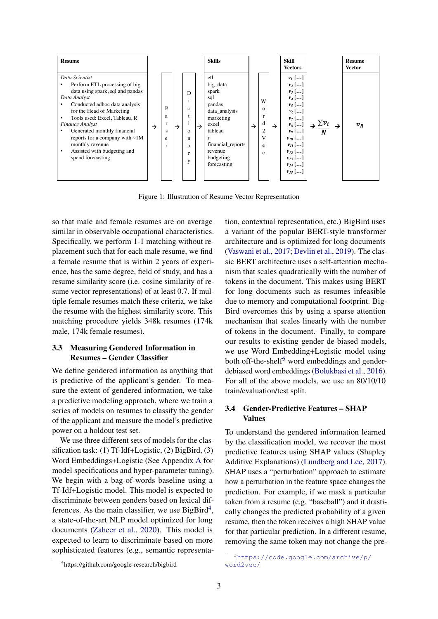

Figure 1: Illustration of Resume Vector Representation

so that male and female resumes are on average similar in observable occupational characteristics. Specifically, we perform 1-1 matching without replacement such that for each male resume, we find a female resume that is within 2 years of experience, has the same degree, field of study, and has a resume similarity score (i.e. cosine similarity of resume vector representations) of at least 0.7. If multiple female resumes match these criteria, we take the resume with the highest similarity score. This matching procedure yields 348k resumes (174k male, 174k female resumes).

### 3.3 Measuring Gendered Information in Resumes – Gender Classifier

We define gendered information as anything that is predictive of the applicant's gender. To measure the extent of gendered information, we take a predictive modeling approach, where we train a series of models on resumes to classify the gender of the applicant and measure the model's predictive power on a holdout test set.

We use three different sets of models for the classification task: (1) Tf-Idf+Logistic, (2) BigBird, (3) Word Embeddings+Logistic (See Appendix A for model specifications and hyper-parameter tuning). We begin with a bag-of-words baseline using a Tf-Idf+Logistic model. This model is expected to discriminate between genders based on lexical differences. As the main classifier, we use BigBird<sup>4</sup>, a state-of-the-art NLP model optimized for long documents (Zaheer et al., 2020). This model is expected to learn to discriminate based on more sophisticated features (e.g., semantic representation, contextual representation, etc.) BigBird uses a variant of the popular BERT-style transformer architecture and is optimized for long documents (Vaswani et al., 2017; Devlin et al., 2019). The classic BERT architecture uses a self-attention mechanism that scales quadratically with the number of tokens in the document. This makes using BERT for long documents such as resumes infeasible due to memory and computational footprint. Big-Bird overcomes this by using a sparse attention mechanism that scales linearly with the number of tokens in the document. Finally, to compare our results to existing gender de-biased models, we use Word Embedding+Logistic model using both off-the-shelf<sup>5</sup> word embeddings and genderdebiased word embeddings (Bolukbasi et al., 2016). For all of the above models, we use an 80/10/10 train/evaluation/test split.

# 3.4 Gender-Predictive Features – SHAP Values

To understand the gendered information learned by the classification model, we recover the most predictive features using SHAP values (Shapley Additive Explanations) (Lundberg and Lee, 2017). SHAP uses a "perturbation" approach to estimate how a perturbation in the feature space changes the prediction. For example, if we mask a particular token from a resume (e.g. "baseball") and it drastically changes the predicted probability of a given resume, then the token receives a high SHAP value for that particular prediction. In a different resume, removing the same token may not change the pre-

<sup>4</sup> https://github.com/google-research/bigbird

<sup>5</sup>https://code.google.com/archive/p/ word2vec/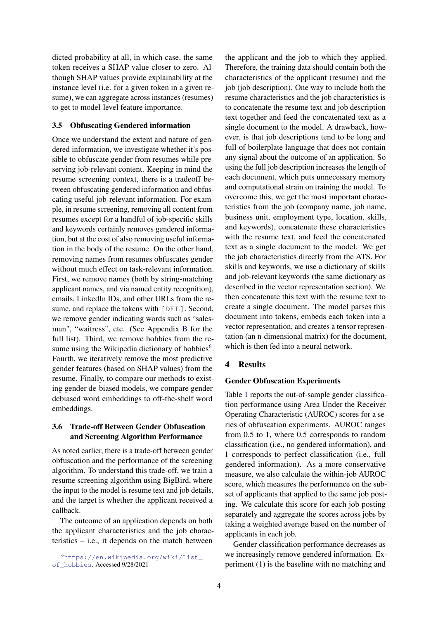dicted probability at all, in which case, the same token receives a SHAP value closer to zero. Although SHAP values provide explainability at the instance level (i.e. for a given token in a given resume), we can aggregate across instances (resumes) to get to model-level feature importance.

### 3.5 Obfuscating Gendered information

Once we understand the extent and nature of gendered information, we investigate whether it's possible to obfuscate gender from resumes while preserving job-relevant content. Keeping in mind the resume screening context, there is a tradeoff between obfuscating gendered information and obfuscating useful job-relevant information. For example, in resume screening, removing all content from resumes except for a handful of job-specific skills and keywords certainly removes gendered information, but at the cost of also removing useful information in the body of the resume. On the other hand, removing names from resumes obfuscates gender without much effect on task-relevant information. First, we remove names (both by string-matching applicant names, and via named entity recognition), emails, LinkedIn IDs, and other URLs from the resume, and replace the tokens with [DEL]. Second, we remove gender indicating words such as "salesman", "waitress", etc. (See Appendix B for the full list). Third, we remove hobbies from the resume using the Wikipedia dictionary of hobbies $6$ . Fourth, we iteratively remove the most predictive gender features (based on SHAP values) from the resume. Finally, to compare our methods to existing gender de-biased models, we compare gender debiased word embeddings to off-the-shelf word embeddings.

### 3.6 Trade-off Between Gender Obfuscation and Screening Algorithm Performance

As noted earlier, there is a trade-off between gender obfuscation and the performance of the screening algorithm. To understand this trade-off, we train a resume screening algorithm using BigBird, where the input to the model is resume text and job details, and the target is whether the applicant received a callback.

The outcome of an application depends on both the applicant characteristics and the job characteristics – i.e., it depends on the match between

the applicant and the job to which they applied. Therefore, the training data should contain both the characteristics of the applicant (resume) and the job (job description). One way to include both the resume characteristics and the job characteristics is to concatenate the resume text and job description text together and feed the concatenated text as a single document to the model. A drawback, however, is that job descriptions tend to be long and full of boilerplate language that does not contain any signal about the outcome of an application. So using the full job description increases the length of each document, which puts unnecessary memory and computational strain on training the model. To overcome this, we get the most important characteristics from the job (company name, job name, business unit, employment type, location, skills, and keywords), concatenate these characteristics with the resume text, and feed the concatenated text as a single document to the model. We get the job characteristics directly from the ATS. For skills and keywords, we use a dictionary of skills and job-relevant keywords (the same dictionary as described in the vector representation section). We then concatenate this text with the resume text to create a single document. The model parses this document into tokens, embeds each token into a vector representation, and creates a tensor representation (an n-dimensional matrix) for the document, which is then fed into a neural network.

# 4 Results

#### Gender Obfuscation Experiments

Table 1 reports the out-of-sample gender classification performance using Area Under the Receiver Operating Characteristic (AUROC) scores for a series of obfuscation experiments. AUROC ranges from 0.5 to 1, where 0.5 corresponds to random classification (i.e., no gendered information), and 1 corresponds to perfect classification (i.e., full gendered information). As a more conservative measure, we also calculate the within-job AUROC score, which measures the performance on the subset of applicants that applied to the same job posting. We calculate this score for each job posting separately and aggregate the scores across jobs by taking a weighted average based on the number of applicants in each job.

Gender classification performance decreases as we increasingly remove gendered information. Experiment (1) is the baseline with no matching and

<sup>6</sup>https://en.wikipedia.org/wiki/List\_ of\_hobbies. Accessed 9/28/2021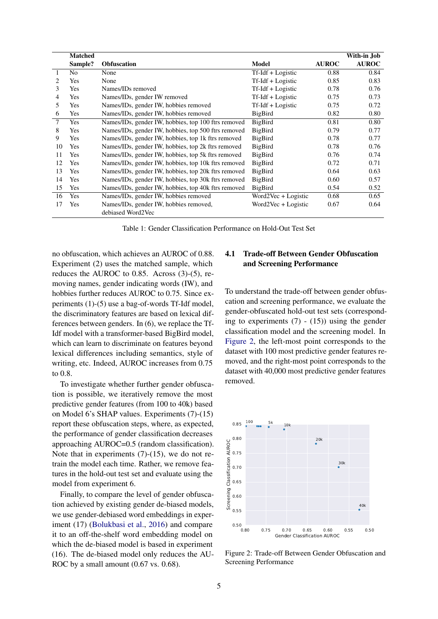|    | <b>Matched</b> |                                                     |                      |              | With-in Job  |
|----|----------------|-----------------------------------------------------|----------------------|--------------|--------------|
|    | Sample?        | <b>Obfuscation</b>                                  | Model                | <b>AUROC</b> | <b>AUROC</b> |
| 1  | N <sub>0</sub> | None                                                | $Tf-Idf + Logistic$  | 0.88         | 0.84         |
| 2  | Yes            | None                                                | $Tf-Idf + Logistic$  | 0.85         | 0.83         |
| 3  | Yes            | Names/IDs removed                                   | Tf-Idf + Logistic    | 0.78         | 0.76         |
| 4  | Yes            | Names/IDs, gender IW removed                        | Tf-Idf + Logistic    | 0.75         | 0.73         |
| 5  | Yes            | Names/IDs, gender IW, hobbies removed               | $Tf$ -Idf + Logistic | 0.75         | 0.72         |
| 6  | Yes            | Names/IDs, gender IW, hobbies removed               | BigBird              | 0.82         | 0.80         |
| 7  | Yes            | Names/IDs, gender IW, hobbies, top 100 ftrs removed | BigBird              | 0.81         | 0.80         |
| 8  | Yes            | Names/IDs, gender IW, hobbies, top 500 ftrs removed | BigBird              | 0.79         | 0.77         |
| 9  | Yes            | Names/IDs, gender IW, hobbies, top 1k ftrs removed  | BigBird              | 0.78         | 0.77         |
| 10 | Yes            | Names/IDs, gender IW, hobbies, top 2k ftrs removed  | BigBird              | 0.78         | 0.76         |
| 11 | Yes            | Names/IDs, gender IW, hobbies, top 5k ftrs removed  | BigBird              | 0.76         | 0.74         |
| 12 | Yes            | Names/IDs, gender IW, hobbies, top 10k ftrs removed | BigBird              | 0.72         | 0.71         |
| 13 | Yes            | Names/IDs, gender IW, hobbies, top 20k ftrs removed | BigBird              | 0.64         | 0.63         |
| 14 | Yes            | Names/IDs, gender IW, hobbies, top 30k ftrs removed | BigBird              | 0.60         | 0.57         |
| 15 | Yes            | Names/IDs, gender IW, hobbies, top 40k ftrs removed | BigBird              | 0.54         | 0.52         |
| 16 | Yes            | Names/IDs, gender IW, hobbies removed               | Word2Vec + Logistic  | 0.68         | 0.65         |
| 17 | Yes            | Names/IDs, gender IW, hobbies removed,              | Word2Vec + Logistic  | 0.67         | 0.64         |
|    |                | debiased Word2Vec                                   |                      |              |              |

Table 1: Gender Classification Performance on Hold-Out Test Set

no obfuscation, which achieves an AUROC of 0.88. Experiment (2) uses the matched sample, which reduces the AUROC to 0.85. Across (3)-(5), removing names, gender indicating words (IW), and hobbies further reduces AUROC to 0.75. Since experiments (1)-(5) use a bag-of-words Tf-Idf model, the discriminatory features are based on lexical differences between genders. In (6), we replace the Tf-Idf model with a transformer-based BigBird model, which can learn to discriminate on features beyond lexical differences including semantics, style of writing, etc. Indeed, AUROC increases from 0.75 to 0.8.

To investigate whether further gender obfuscation is possible, we iteratively remove the most predictive gender features (from 100 to 40k) based on Model 6's SHAP values. Experiments (7)-(15) report these obfuscation steps, where, as expected, the performance of gender classification decreases approaching AUROC=0.5 (random classification). Note that in experiments (7)-(15), we do not retrain the model each time. Rather, we remove features in the hold-out test set and evaluate using the model from experiment 6.

Finally, to compare the level of gender obfuscation achieved by existing gender de-biased models, we use gender-debiased word embeddings in experiment (17) (Bolukbasi et al., 2016) and compare it to an off-the-shelf word embedding model on which the de-biased model is based in experiment (16). The de-biased model only reduces the AU-ROC by a small amount  $(0.67 \text{ vs. } 0.68)$ .

# 4.1 Trade-off Between Gender Obfuscation and Screening Performance

To understand the trade-off between gender obfuscation and screening performance, we evaluate the gender-obfuscated hold-out test sets (corresponding to experiments  $(7) - (15)$  using the gender classification model and the screening model. In Figure 2, the left-most point corresponds to the dataset with 100 most predictive gender features removed, and the right-most point corresponds to the dataset with 40,000 most predictive gender features removed.



Figure 2: Trade-off Between Gender Obfuscation and Screening Performance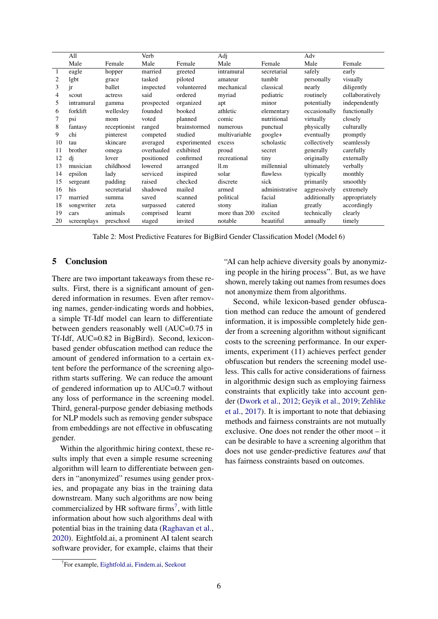|              | All         |              | Verb       |              | Adj           |                | Adv          |                 |
|--------------|-------------|--------------|------------|--------------|---------------|----------------|--------------|-----------------|
|              | Male        | Female       | Male       | Female       | Male          | Female         | Male         | Female          |
| $\mathbf{1}$ | eagle       | hopper       | married    | greeted      | intramural    | secretarial    | safely       | early           |
| 2            | lgbt        | grace        | tasked     | piloted      | amateur       | tumblr         | personally   | visually        |
| 3            | jr          | ballet       | inspected  | volunteered  | mechanical    | classical      | nearly       | diligently      |
| 4            | scout       | actress      | said       | ordered      | myriad        | pediatric      | routinely    | collaboratively |
| 5            | intramural  | gamma        | prospected | organized    | apt           | minor          | potentially  | independently   |
| 6            | forklift    | wellesley    | founded    | booked       | athletic      | elementary     | occasionally | functionally    |
| 7            | psi         | mom          | voted      | planned      | comic         | nutritional    | virtually    | closely         |
| 8            | fantasy     | receptionist | ranged     | brainstormed | numerous      | punctual       | physically   | culturally      |
| 9            | chi         | pinterest    | competed   | studied      | multivariable | $google+$      | eventually   | promptly        |
| 10           | tau         | skincare     | averaged   | experimented | excess        | scholastic     | collectively | seamlessly      |
| 11           | brother     | omega        | overhauled | exhibited    | proud         | secret         | generally    | carefully       |
| 12           | di          | lover        | positioned | confirmed    | recreational  | tiny           | originally   | externally      |
| 13           | musician    | childhood    | lowered    | arranged     | ll.m          | millennial     | ultimately   | verbally        |
| 14           | epsilon     | lady         | serviced   | inspired     | solar         | flawless       | typically    | monthly         |
| 15           | sergeant    | padding      | raised     | checked      | discrete      | sick           | primarily    | smoothly        |
| 16           | his         | secretarial  | shadowed   | mailed       | armed         | administrative | aggressively | extremely       |
| 17           | married     | summa        | saved      | scanned      | political     | facial         | additionally | appropriately   |
| 18           | songwriter  | zeta         | surpassed  | catered      | stony         | italian        | greatly      | accordingly     |
| 19           | cars        | animals      | comprised  | learnt       | more than 200 | excited        | technically  | clearly         |
| 20           | screenplays | preschool    | staged     | invited      | notable       | beautiful      | annually     | timely          |

Table 2: Most Predictive Features for BigBird Gender Classification Model (Model 6)

### 5 Conclusion

There are two important takeaways from these results. First, there is a significant amount of gendered information in resumes. Even after removing names, gender-indicating words and hobbies, a simple Tf-Idf model can learn to differentiate between genders reasonably well (AUC=0.75 in Tf-Idf, AUC=0.82 in BigBird). Second, lexiconbased gender obfuscation method can reduce the amount of gendered information to a certain extent before the performance of the screening algorithm starts suffering. We can reduce the amount of gendered information up to AUC=0.7 without any loss of performance in the screening model. Third, general-purpose gender debiasing methods for NLP models such as removing gender subspace from embeddings are not effective in obfuscating gender.

Within the algorithmic hiring context, these results imply that even a simple resume screening algorithm will learn to differentiate between genders in "anonymized" resumes using gender proxies, and propagate any bias in the training data downstream. Many such algorithms are now being commercialized by HR software firms<sup>7</sup>, with little information about how such algorithms deal with potential bias in the training data (Raghavan et al., 2020). Eightfold.ai, a prominent AI talent search software provider, for example, claims that their

"AI can help achieve diversity goals by anonymizing people in the hiring process". But, as we have shown, merely taking out names from resumes does not anonymize them from algorithms.

Second, while lexicon-based gender obfuscation method can reduce the amount of gendered information, it is impossible completely hide gender from a screening algorithm without significant costs to the screening performance. In our experiments, experiment (11) achieves perfect gender obfuscation but renders the screening model useless. This calls for active considerations of fairness in algorithmic design such as employing fairness constraints that explicitly take into account gender (Dwork et al., 2012; Geyik et al., 2019; Zehlike et al., 2017). It is important to note that debiasing methods and fairness constraints are not mutually exclusive. One does not render the other moot – it can be desirable to have a screening algorithm that does not use gender-predictive features *and* that has fairness constraints based on outcomes.

<sup>&</sup>lt;sup>7</sup>For example, Eightfold.ai, Findem.ai, Seekout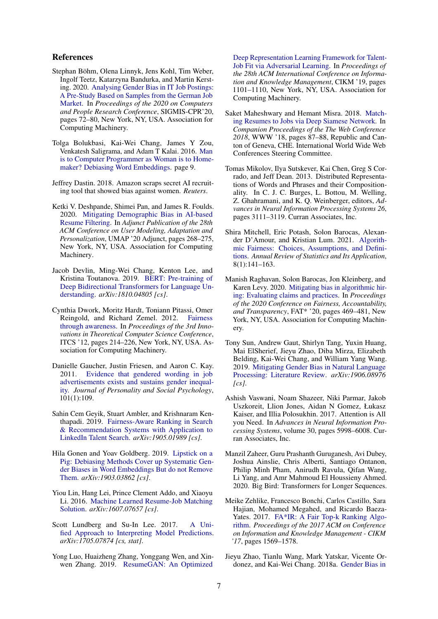#### References

- Stephan Böhm, Olena Linnyk, Jens Kohl, Tim Weber, Ingolf Teetz, Katarzyna Bandurka, and Martin Kersting. 2020. Analysing Gender Bias in IT Job Postings: A Pre-Study Based on Samples from the German Job Market. In *Proceedings of the 2020 on Computers and People Research Conference*, SIGMIS-CPR'20, pages 72–80, New York, NY, USA. Association for Computing Machinery.
- Tolga Bolukbasi, Kai-Wei Chang, James Y Zou, Venkatesh Saligrama, and Adam T Kalai. 2016. Man is to Computer Programmer as Woman is to Homemaker? Debiasing Word Embeddings. page 9.
- Jeffrey Dastin. 2018. Amazon scraps secret AI recruiting tool that showed bias against women. *Reuters*.
- Ketki V. Deshpande, Shimei Pan, and James R. Foulds. 2020. Mitigating Demographic Bias in AI-based Resume Filtering. In *Adjunct Publication of the 28th ACM Conference on User Modeling, Adaptation and Personalization*, UMAP '20 Adjunct, pages 268–275, New York, NY, USA. Association for Computing Machinery.
- Jacob Devlin, Ming-Wei Chang, Kenton Lee, and Kristina Toutanova. 2019. BERT: Pre-training of Deep Bidirectional Transformers for Language Understanding. *arXiv:1810.04805 [cs]*.
- Cynthia Dwork, Moritz Hardt, Toniann Pitassi, Omer Reingold, and Richard Zemel. 2012. Fairness through awareness. In *Proceedings of the 3rd Innovations in Theoretical Computer Science Conference*, ITCS '12, pages 214–226, New York, NY, USA. Association for Computing Machinery.
- Danielle Gaucher, Justin Friesen, and Aaron C. Kay. 2011. Evidence that gendered wording in job advertisements exists and sustains gender inequality. *Journal of Personality and Social Psychology*, 101(1):109.
- Sahin Cem Geyik, Stuart Ambler, and Krishnaram Kenthapadi. 2019. Fairness-Aware Ranking in Search & Recommendation Systems with Application to LinkedIn Talent Search. *arXiv:1905.01989 [cs]*.
- Hila Gonen and Yoav Goldberg. 2019. Lipstick on a Pig: Debiasing Methods Cover up Systematic Gender Biases in Word Embeddings But do not Remove Them. *arXiv:1903.03862 [cs]*.
- Yiou Lin, Hang Lei, Prince Clement Addo, and Xiaoyu Li. 2016. Machine Learned Resume-Job Matching Solution. *arXiv:1607.07657 [cs]*.
- Scott Lundberg and Su-In Lee. 2017. A Unified Approach to Interpreting Model Predictions. *arXiv:1705.07874 [cs, stat]*.
- Yong Luo, Huaizheng Zhang, Yonggang Wen, and Xinwen Zhang. 2019. ResumeGAN: An Optimized

Deep Representation Learning Framework for Talent-Job Fit via Adversarial Learning. In *Proceedings of the 28th ACM International Conference on Information and Knowledge Management*, CIKM '19, pages 1101–1110, New York, NY, USA. Association for Computing Machinery.

- Saket Maheshwary and Hemant Misra. 2018. Matching Resumes to Jobs via Deep Siamese Network. In *Companion Proceedings of the The Web Conference 2018*, WWW '18, pages 87–88, Republic and Canton of Geneva, CHE. International World Wide Web Conferences Steering Committee.
- Tomas Mikolov, Ilya Sutskever, Kai Chen, Greg S Corrado, and Jeff Dean. 2013. Distributed Representations of Words and Phrases and their Compositionality. In C. J. C. Burges, L. Bottou, M. Welling, Z. Ghahramani, and K. Q. Weinberger, editors, *Advances in Neural Information Processing Systems 26*, pages 3111–3119. Curran Associates, Inc.
- Shira Mitchell, Eric Potash, Solon Barocas, Alexander D'Amour, and Kristian Lum. 2021. Algorithmic Fairness: Choices, Assumptions, and Definitions. *Annual Review of Statistics and Its Application*, 8(1):141–163.
- Manish Raghavan, Solon Barocas, Jon Kleinberg, and Karen Levy. 2020. Mitigating bias in algorithmic hiring: Evaluating claims and practices. In *Proceedings of the 2020 Conference on Fairness, Accountability, and Transparency*, FAT\* '20, pages 469–481, New York, NY, USA. Association for Computing Machinery.
- Tony Sun, Andrew Gaut, Shirlyn Tang, Yuxin Huang, Mai ElSherief, Jieyu Zhao, Diba Mirza, Elizabeth Belding, Kai-Wei Chang, and William Yang Wang. 2019. Mitigating Gender Bias in Natural Language Processing: Literature Review. *arXiv:1906.08976 [cs]*.
- Ashish Vaswani, Noam Shazeer, Niki Parmar, Jakob Uszkoreit, Llion Jones, Aidan N Gomez, Łukasz Kaiser, and Illia Polosukhin. 2017. Attention is All you Need. In *Advances in Neural Information Processing Systems*, volume 30, pages 5998–6008. Curran Associates, Inc.
- Manzil Zaheer, Guru Prashanth Guruganesh, Avi Dubey, Joshua Ainslie, Chris Alberti, Santiago Ontanon, Philip Minh Pham, Anirudh Ravula, Qifan Wang, Li Yang, and Amr Mahmoud El Houssieny Ahmed. 2020. Big Bird: Transformers for Longer Sequences.
- Meike Zehlike, Francesco Bonchi, Carlos Castillo, Sara Hajian, Mohamed Megahed, and Ricardo Baeza-Yates. 2017. FA\*IR: A Fair Top-k Ranking Algorithm. *Proceedings of the 2017 ACM on Conference on Information and Knowledge Management - CIKM '17*, pages 1569–1578.
- Jieyu Zhao, Tianlu Wang, Mark Yatskar, Vicente Ordonez, and Kai-Wei Chang. 2018a. Gender Bias in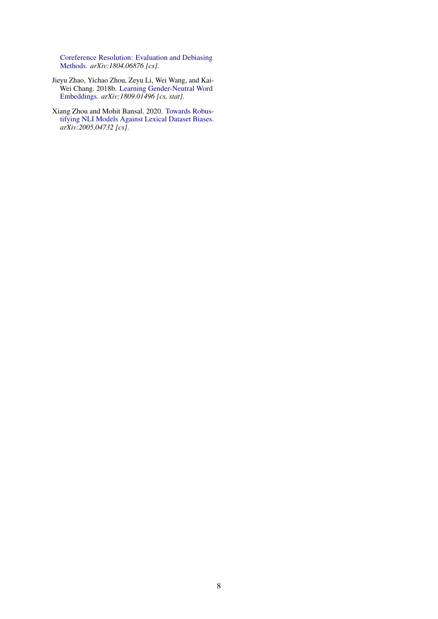Coreference Resolution: Evaluation and Debiasing Methods. *arXiv:1804.06876 [cs]*.

- Jieyu Zhao, Yichao Zhou, Zeyu Li, Wei Wang, and Kai-Wei Chang. 2018b. Learning Gender-Neutral Word Embeddings. *arXiv:1809.01496 [cs, stat]*.
- Xiang Zhou and Mohit Bansal. 2020. Towards Robustifying NLI Models Against Lexical Dataset Biases. *arXiv:2005.04732 [cs]*.